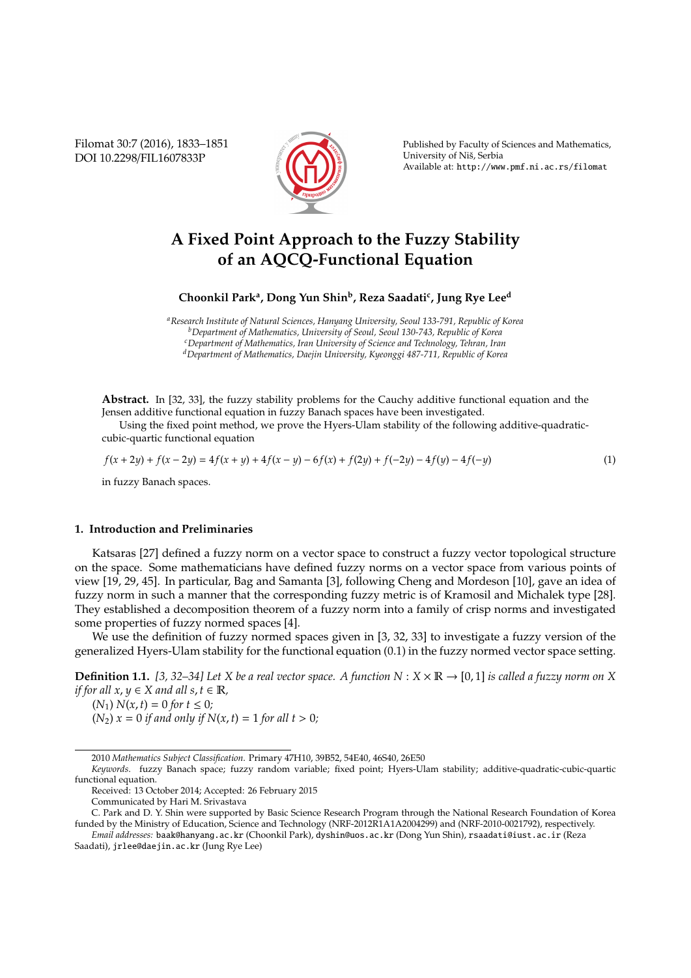Filomat 30:7 (2016), 1833–1851 DOI 10.2298/FIL1607833P



Published by Faculty of Sciences and Mathematics, University of Niš, Serbia Available at: http://www.pmf.ni.ac.rs/filomat

# **A Fixed Point Approach to the Fuzzy Stability of an AQCQ-Functional Equation**

**Choonkil Park<sup>a</sup> , Dong Yun Shin<sup>b</sup> , Reza Saadati<sup>c</sup> , Jung Rye Lee<sup>d</sup>**

*<sup>a</sup>Research Institute of Natural Sciences, Hanyang University, Seoul 133-791, Republic of Korea <sup>b</sup>Department of Mathematics, University of Seoul, Seoul 130-743, Republic of Korea <sup>c</sup>Department of Mathematics, Iran University of Science and Technology, Tehran, Iran <sup>d</sup>Department of Mathematics, Daejin University, Kyeonggi 487-711, Republic of Korea*

**Abstract.** In [32, 33], the fuzzy stability problems for the Cauchy additive functional equation and the Jensen additive functional equation in fuzzy Banach spaces have been investigated.

Using the fixed point method, we prove the Hyers-Ulam stability of the following additive-quadraticcubic-quartic functional equation

$$
f(x+2y) + f(x-2y) = 4f(x+y) + 4f(x-y) - 6f(x) + f(2y) + f(-2y) - 4f(y) - 4f(-y)
$$
\n(1)

in fuzzy Banach spaces.

## **1. Introduction and Preliminaries**

Katsaras [27] defined a fuzzy norm on a vector space to construct a fuzzy vector topological structure on the space. Some mathematicians have defined fuzzy norms on a vector space from various points of view [19, 29, 45]. In particular, Bag and Samanta [3], following Cheng and Mordeson [10], gave an idea of fuzzy norm in such a manner that the corresponding fuzzy metric is of Kramosil and Michalek type [28]. They established a decomposition theorem of a fuzzy norm into a family of crisp norms and investigated some properties of fuzzy normed spaces [4].

We use the definition of fuzzy normed spaces given in [3, 32, 33] to investigate a fuzzy version of the generalized Hyers-Ulam stability for the functional equation (0.1) in the fuzzy normed vector space setting.

**Definition 1.1.** [3, 32–34] Let X be a real vector space. A function  $N : X \times \mathbb{R} \to [0, 1]$  is called a fuzzy norm on X *if for all*  $x, y \in X$  *and all*  $s, t \in \mathbb{R}$ *,* 

 $(N_1) N(x,t) = 0$  *for*  $t \le 0$ *;*  $(N_2)$   $x = 0$  *if and only if*  $N(x, t) = 1$  *for all t* > 0*;* 

<sup>2010</sup> *Mathematics Subject Classification*. Primary 47H10, 39B52, 54E40, 46S40, 26E50

*Keywords*. fuzzy Banach space; fuzzy random variable; fixed point; Hyers-Ulam stability; additive-quadratic-cubic-quartic functional equation.

Received: 13 October 2014; Accepted: 26 February 2015

Communicated by Hari M. Srivastava

C. Park and D. Y. Shin were supported by Basic Science Research Program through the National Research Foundation of Korea funded by the Ministry of Education, Science and Technology (NRF-2012R1A1A2004299) and (NRF-2010-0021792), respectively. *Email addresses:* baak@hanyang.ac.kr (Choonkil Park), dyshin@uos.ac.kr (Dong Yun Shin), rsaadati@iust.ac.ir (Reza

Saadati), jrlee@daejin.ac.kr (Jung Rye Lee)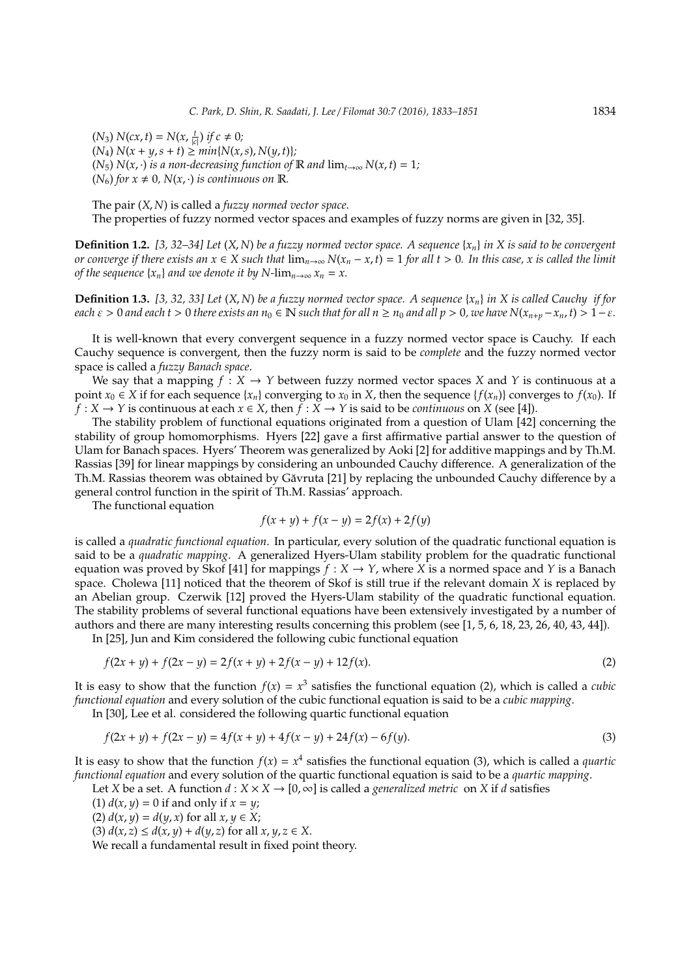$(N_3) N(cx, t) = N(x, \frac{t}{|c|})$  *if*  $c \neq 0$ *;*  $(N_4) N(x + y, s + t) \geq min\{N(x, s), N(y, t)\};$ (*N*<sub>5</sub>) *N*(*x*, ·) *is a non-decreasing function of* **R** *and*  $\lim_{t\to\infty} N(x,t) = 1$ *;*  $(N_6)$  for  $x \neq 0$ ,  $N(x, \cdot)$  *is continuous on* R.

The pair (*X*, *N*) is called a *fuzzy normed vector space*. The properties of fuzzy normed vector spaces and examples of fuzzy norms are given in [32, 35].

**Definition 1.2.** *[3, 32–34] Let* (*X*, *N*) *be a fuzzy normed vector space. A sequence* {*xn*} *in X is said to be convergent or converge if there exists an*  $x \in X$  *such that*  $\lim_{n\to\infty} N(x_n - x, t) = 1$  *for all t* > 0*. In this case, x is called the limit of the sequence*  $\{x_n\}$  *and we denote it by* N-lim<sub>*n*→∞</sub>  $x_n = x$ .

**Definition 1.3.** [3, 32, 33] Let  $(X, N)$  be a fuzzy normed vector space. A sequence  $\{x_n\}$  in X is called Cauchy if for *each*  $\varepsilon > 0$  *and each*  $t > 0$  *there exists an*  $n_0 \in \mathbb{N}$  *such that for all*  $n \ge n_0$  *and all*  $p > 0$ *, we have*  $N(x_{n+p} - x_n, t) > 1 - \varepsilon$ *.* 

It is well-known that every convergent sequence in a fuzzy normed vector space is Cauchy. If each Cauchy sequence is convergent, then the fuzzy norm is said to be *complete* and the fuzzy normed vector space is called a *fuzzy Banach space*.

We say that a mapping  $f : X \to Y$  between fuzzy normed vector spaces X and Y is continuous at a point  $x_0 \in X$  if for each sequence  $\{x_n\}$  converging to  $x_0$  in X, then the sequence  $\{f(x_n)\}$  converges to  $f(x_0)$ . If  $f: X \to Y$  is continuous at each  $x \in X$ , then  $f: X \to Y$  is said to be *continuous* on *X* (see [4]).

The stability problem of functional equations originated from a question of Ulam [42] concerning the stability of group homomorphisms. Hyers [22] gave a first affirmative partial answer to the question of Ulam for Banach spaces. Hyers' Theorem was generalized by Aoki [2] for additive mappings and by Th.M. Rassias [39] for linear mappings by considering an unbounded Cauchy difference. A generalization of the Th.M. Rassias theorem was obtained by Găvruta [21] by replacing the unbounded Cauchy difference by a general control function in the spirit of Th.M. Rassias' approach.

The functional equation

$$
f(x + y) + f(x - y) = 2f(x) + 2f(y)
$$

is called a *quadratic functional equation*. In particular, every solution of the quadratic functional equation is said to be a *quadratic mapping*. A generalized Hyers-Ulam stability problem for the quadratic functional equation was proved by Skof [41] for mappings  $f : X \to Y$ , where *X* is a normed space and *Y* is a Banach space. Cholewa [11] noticed that the theorem of Skof is still true if the relevant domain *X* is replaced by an Abelian group. Czerwik [12] proved the Hyers-Ulam stability of the quadratic functional equation. The stability problems of several functional equations have been extensively investigated by a number of authors and there are many interesting results concerning this problem (see [1, 5, 6, 18, 23, 26, 40, 43, 44]).

In [25], Jun and Kim considered the following cubic functional equation

$$
f(2x + y) + f(2x - y) = 2f(x + y) + 2f(x - y) + 12f(x).
$$
 (2)

It is easy to show that the function  $f(x) = x^3$  satisfies the functional equation (2), which is called a *cubic functional equation* and every solution of the cubic functional equation is said to be a *cubic mapping*.

In [30], Lee et al. considered the following quartic functional equation

$$
f(2x + y) + f(2x - y) = 4f(x + y) + 4f(x - y) + 24f(x) - 6f(y).
$$
\n(3)

It is easy to show that the function  $f(x) = x^4$  satisfies the functional equation (3), which is called a *quartic functional equation* and every solution of the quartic functional equation is said to be a *quartic mapping*.

Let *X* be a set. A function  $d : X \times X \to [0, \infty]$  is called a *generalized metric* on *X* if *d* satisfies

- (1)  $d(x, y) = 0$  if and only if  $x = y$ ;
- (2)  $d(x, y) = d(y, x)$  for all  $x, y \in X$ ;
- (3)  $d(x, z) \le d(x, y) + d(y, z)$  for all  $x, y, z \in X$ .

We recall a fundamental result in fixed point theory.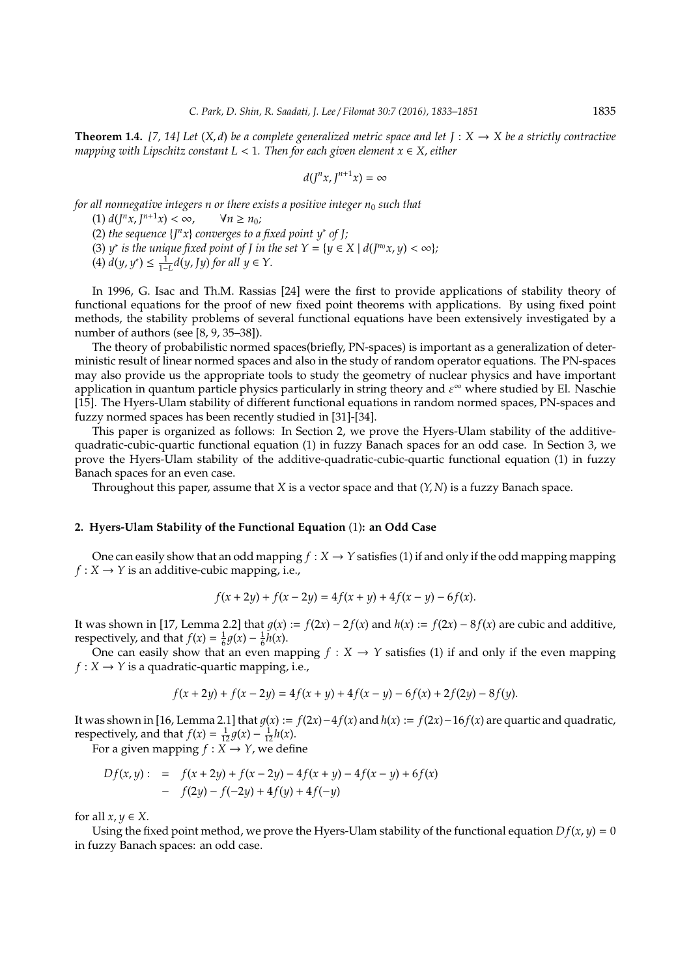**Theorem 1.4.** [7, 14] Let  $(X, d)$  be a complete generalized metric space and let  $J: X \to X$  be a strictly contractive *mapping with Lipschitz constant L* < 1*. Then for each given element x* ∈ *X, either*

$$
d(J^nx,J^{n+1}x)=\infty
$$

*for all nonnegative integers n or there exists a positive integer n<sub>0</sub> such that* 

 $(1) d(J<sup>n</sup>x, J<sup>n+1</sup>x) < \infty, \qquad \forall n \ge n_0;$ 

(2) *the sequence*  $\{J^n x\}$  *converges to a fixed point y\* of J;* 

(3) *y*<sup>\*</sup> *is the unique fixed point of J in the set*  $Y = \{y \in X \mid d(J^{n_0}x, y) < \infty\}$ *;* 

(4)  $d(y, y^*)$  ≤  $\frac{1}{1-L}d(y, Jy)$  *for all y* ∈ *Y*.

In 1996, G. Isac and Th.M. Rassias [24] were the first to provide applications of stability theory of functional equations for the proof of new fixed point theorems with applications. By using fixed point methods, the stability problems of several functional equations have been extensively investigated by a number of authors (see [8, 9, 35–38]).

The theory of probabilistic normed spaces(briefly, PN-spaces) is important as a generalization of deterministic result of linear normed spaces and also in the study of random operator equations. The PN-spaces may also provide us the appropriate tools to study the geometry of nuclear physics and have important application in quantum particle physics particularly in string theory and  $\varepsilon^{\infty}$  where studied by El. Naschie [15]. The Hyers-Ulam stability of different functional equations in random normed spaces, PN-spaces and fuzzy normed spaces has been recently studied in [31]-[34].

This paper is organized as follows: In Section 2, we prove the Hyers-Ulam stability of the additivequadratic-cubic-quartic functional equation (1) in fuzzy Banach spaces for an odd case. In Section 3, we prove the Hyers-Ulam stability of the additive-quadratic-cubic-quartic functional equation (1) in fuzzy Banach spaces for an even case.

Throughout this paper, assume that *X* is a vector space and that (*Y*, *N*) is a fuzzy Banach space.

### **2. Hyers-Ulam Stability of the Functional Equation** (1)**: an Odd Case**

One can easily show that an odd mapping  $f : X \to Y$  satisfies (1) if and only if the odd mapping mapping  $f: X \rightarrow Y$  is an additive-cubic mapping, i.e.,

$$
f(x+2y) + f(x-2y) = 4f(x+y) + 4f(x-y) - 6f(x).
$$

It was shown in [17, Lemma 2.2] that  $g(x) := f(2x) - 2f(x)$  and  $h(x) := f(2x) - 8f(x)$  are cubic and additive, respectively, and that  $f(x) = \frac{1}{6}g(x) - \frac{1}{6}h(x)$ .

One can easily show that an even mapping  $f : X \to Y$  satisfies (1) if and only if the even mapping  $f: X \rightarrow Y$  is a quadratic-quartic mapping, i.e.,

$$
f(x+2y) + f(x-2y) = 4f(x+y) + 4f(x-y) - 6f(x) + 2f(2y) - 8f(y).
$$

It was shown in [16, Lemma 2.1] that  $q(x) := f(2x) - 4f(x)$  and  $h(x) := f(2x) - 16f(x)$  are quartic and quadratic, respectively, and that  $f(x) = \frac{1}{12}g(x) - \frac{1}{12}h(x)$ .

For a given mapping  $f: X \to Y$ , we define

$$
Df(x, y) := f(x + 2y) + f(x - 2y) - 4f(x + y) - 4f(x - y) + 6f(x)
$$
  
- 
$$
f(2y) - f(-2y) + 4f(y) + 4f(-y)
$$

for all  $x, y \in X$ .

Using the fixed point method, we prove the Hyers-Ulam stability of the functional equation  $Df(x, y) = 0$ in fuzzy Banach spaces: an odd case.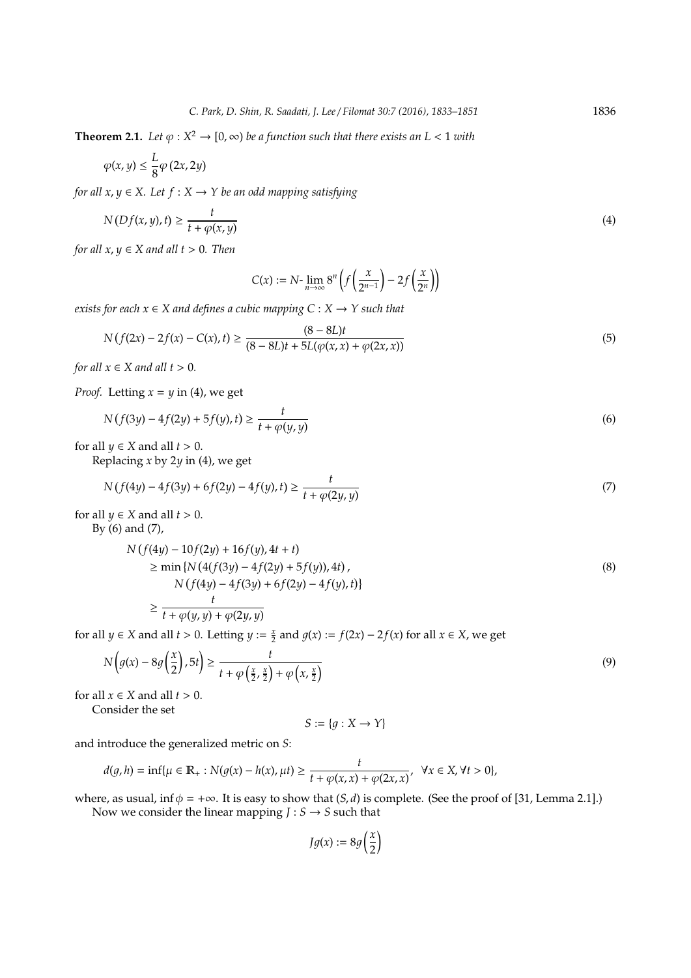**Theorem 2.1.** Let  $\varphi: X^2 \to [0, \infty)$  be a function such that there exists an  $L < 1$  with

$$
\varphi(x,y)\leq \frac{L}{8}\varphi\left(2x,2y\right)
$$

*for all x, y*  $\in$  *X.* Let *f* : *X*  $\rightarrow$  *Y be an odd mapping satisfying* 

$$
N(Df(x, y), t) \ge \frac{t}{t + \varphi(x, y)}
$$
\n<sup>(4)</sup>

*for all*  $x, y \in X$  *and all*  $t > 0$ *. Then* 

$$
C(x) := N \text{-} \lim_{n \to \infty} 8^n \left( f\left(\frac{x}{2^{n-1}}\right) - 2f\left(\frac{x}{2^n}\right) \right)
$$

*exists for each*  $x \in X$  *and defines a cubic mapping*  $C : X \rightarrow Y$  *such that* 

$$
N(f(2x) - 2f(x) - C(x), t) \ge \frac{(8 - 8L)t}{(8 - 8L)t + 5L(\varphi(x, x) + \varphi(2x, x))}
$$
(5)

*for all*  $x \in X$  *and all*  $t > 0$ *.* 

*Proof.* Letting  $x = y$  in (4), we get

$$
N(f(3y) - 4f(2y) + 5f(y), t) \ge \frac{t}{t + \varphi(y, y)}
$$
\n(6)

for all  $\psi \in X$  and all  $t > 0$ .

Replacing *x* by 2*y* in (4), we get

$$
N(f(4y) - 4f(3y) + 6f(2y) - 4f(y), t) \ge \frac{t}{t + \varphi(2y, y)}
$$
\n(7)

for all  $\psi \in X$  and all  $t > 0$ .

By (6) and (7),

$$
N(f(4y) - 10f(2y) + 16f(y), 4t + t)
$$
  
\n
$$
\geq \min \{ N(4(f(3y) - 4f(2y) + 5f(y)), 4t),
$$
  
\n
$$
N(f(4y) - 4f(3y) + 6f(2y) - 4f(y), t) \}
$$
  
\n
$$
\geq \frac{t}{t + \varphi(y, y) + \varphi(2y, y)}
$$
\n(8)

for all *y* ∈ *X* and all *t* > 0. Letting *y* :=  $\frac{x}{2}$  and *g*(*x*) := *f*(2*x*) − 2*f*(*x*) for all *x* ∈ *X*, we get

$$
N\left(g(x) - 8g\left(\frac{x}{2}\right), 5t\right) \ge \frac{t}{t + \varphi\left(\frac{x}{2}, \frac{x}{2}\right) + \varphi\left(x, \frac{x}{2}\right)}\tag{9}
$$

for all  $x \in X$  and all  $t > 0$ .

Consider the set

$$
S := \{ g : X \to Y \}
$$

and introduce the generalized metric on *S*:

$$
d(g,h)=\inf\{\mu\in\mathbb{R}_+:N(g(x)-h(x),\mu t)\geq \frac{t}{t+\varphi(x,x)+\varphi(2x,x)},\ \forall x\in X,\forall t>0\},
$$

where, as usual, inf  $\phi = +\infty$ . It is easy to show that  $(S, d)$  is complete. (See the proof of [31, Lemma 2.1].) Now we consider the linear mapping  $J : S \rightarrow S$  such that

$$
Jg(x) := 8g\left(\frac{x}{2}\right)
$$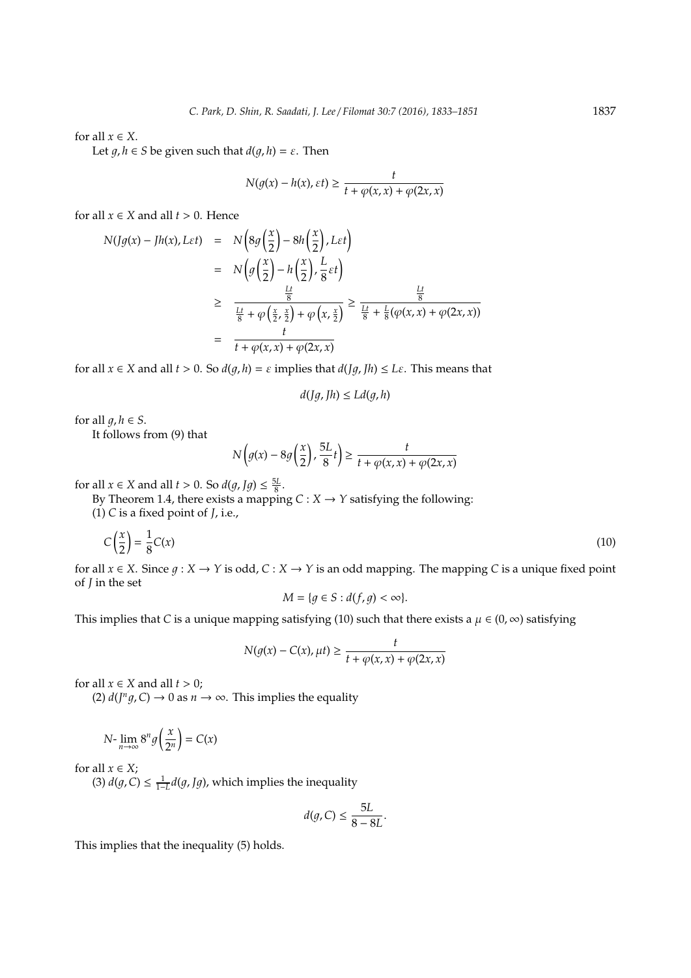for all  $x \in X$ .

Let  $g, h \in S$  be given such that  $d(g, h) = \varepsilon$ . Then

$$
N(g(x) - h(x), \varepsilon t) \ge \frac{t}{t + \varphi(x, x) + \varphi(2x, x)}
$$

for all  $x \in X$  and all  $t > 0$ . Hence

$$
N(Jg(x) - Jh(x), L\varepsilon t) = N\left(8g\left(\frac{x}{2}\right) - 8h\left(\frac{x}{2}\right), L\varepsilon t\right)
$$
  

$$
= N\left(g\left(\frac{x}{2}\right) - h\left(\frac{x}{2}\right), \frac{L}{8}\varepsilon t\right)
$$
  

$$
\geq \frac{\frac{Lt}{8}}{\frac{Lt}{8} + \varphi\left(\frac{x}{2}, \frac{x}{2}\right) + \varphi\left(x, \frac{x}{2}\right)} \geq \frac{\frac{Lt}{8}}{\frac{Lt}{8} + \frac{L}{8}(\varphi(x, x) + \varphi(2x, x))}
$$
  

$$
= \frac{t}{t + \varphi(x, x) + \varphi(2x, x)}
$$

for all  $x \in X$  and all  $t > 0$ . So  $d(g, h) = \varepsilon$  implies that  $d(Jg, Jh) \leq L\varepsilon$ . This means that

$$
d(Jg, Jh) \le Ld(g, h)
$$

for all  $q, h \in S$ .

It follows from (9) that

$$
N\left(g(x) - 8g\left(\frac{x}{2}\right), \frac{5L}{8}t\right) \ge \frac{t}{t + \varphi(x, x) + \varphi(2x, x)}
$$

for all  $x \in X$  and all  $t > 0$ . So  $d(g, Jg) \le \frac{5L}{8}$ .

By Theorem 1.4, there exists a mapping  $C: X \rightarrow Y$  satisfying the following:

(1) *C* is a fixed point of *J*, i.e.,

$$
C\left(\frac{x}{2}\right) = \frac{1}{8}C(x) \tag{10}
$$

for all  $x \in X$ . Since  $g: X \to Y$  is odd,  $C: X \to Y$  is an odd mapping. The mapping *C* is a unique fixed point of *J* in the set

$$
M = \{ g \in S : d(f, g) < \infty \}.
$$

This implies that *C* is a unique mapping satisfying (10) such that there exists a  $\mu \in (0, \infty)$  satisfying

$$
N(g(x) - C(x), \mu t) \ge \frac{t}{t + \varphi(x, x) + \varphi(2x, x)}
$$

for all  $x \in X$  and all  $t > 0$ ;

(2)  $d(J^n g, C) \to 0$  as  $n \to \infty$ . This implies the equality

$$
N\text{-}\lim_{n\to\infty}8^n g\left(\frac{x}{2^n}\right) = C(x)
$$

for all  $x \in X$ ;

(3)  $d(g, C) \leq \frac{1}{1-L} d(g, Jg)$ , which implies the inequality

$$
d(g, C) \le \frac{5L}{8 - 8L}.
$$

This implies that the inequality (5) holds.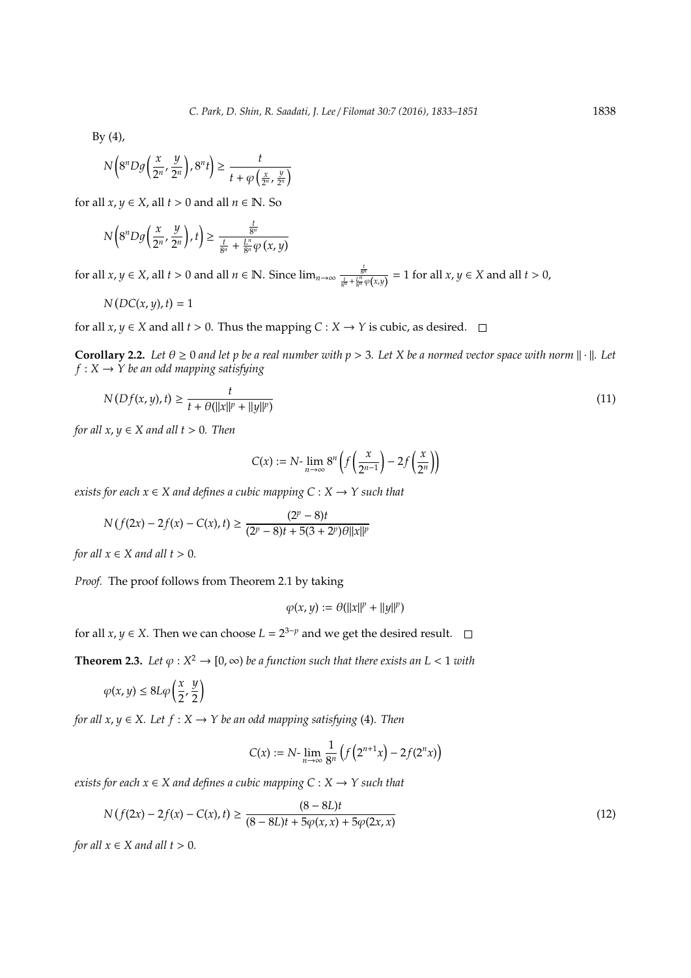$By (4),$ 

$$
N\left(8^nD g\left(\frac{x}{2^n},\frac{y}{2^n}\right),8^n t\right) \ge \frac{t}{t+\varphi\left(\frac{x}{2^n},\frac{y}{2^n}\right)}
$$

for all  $x, y \in X$ , all  $t > 0$  and all  $n \in \mathbb{N}$ . So

$$
N\left(8^nDg\left(\frac{x}{2^n},\frac{y}{2^n}\right),t\right)\geq \frac{\frac{t}{8^n}}{\frac{t}{8^n}+\frac{L^n}{8^n}\varphi\left(x,y\right)}
$$

for all  $x, y \in X$ , all  $t > 0$  and all  $n \in \mathbb{N}$ . Since  $\lim_{n \to \infty} \frac{\frac{t}{8^n}}{\frac{t}{8^n} + \frac{L^n}{8^n} \varphi(x, y)} = 1$  for all  $x, y \in X$  and all  $t > 0$ ,

$$
N(DC(x, y), t) = 1
$$

for all  $x, y \in X$  and all  $t > 0$ . Thus the mapping  $C : X \to Y$  is cubic, as desired.  $\square$ 

**Corollary 2.2.** Let  $\theta \ge 0$  and let p be a real number with  $p > 3$ . Let X be a normed vector space with norm  $\|\cdot\|$ . Let  $f: X \rightarrow Y$  *be an odd mapping satisfying* 

$$
N(Df(x, y), t) \ge \frac{t}{t + \theta(||x||^p + ||y||^p)}
$$
\n(11)

*for all*  $x, y \in X$  *and all*  $t > 0$ *. Then* 

$$
C(x) := N \text{-} \lim_{n \to \infty} 8^n \left( f\left(\frac{x}{2^{n-1}}\right) - 2f\left(\frac{x}{2^n}\right) \right)
$$

*exists for each*  $x \in X$  *and defines a cubic mapping*  $C : X \rightarrow Y$  *such that* 

$$
N\left(f(2x)-2f(x)-C(x),t\right)\geq \frac{(2^p-8)t}{(2^p-8)t+5(3+2^p)\theta\|x\|^p}
$$

*for all*  $x \in X$  *and all*  $t > 0$ *.* 

*Proof.* The proof follows from Theorem 2.1 by taking

$$
\varphi(x,y) := \theta(||x||^p + ||y||^p)
$$

for all *x*, *y*  $\in$  *X*. Then we can choose  $L = 2^{3-p}$  and we get the desired result.

**Theorem 2.3.** Let  $\varphi: X^2 \to [0, \infty)$  be a function such that there exists an  $L < 1$  with

$$
\varphi(x,y) \le 8L\varphi\left(\frac{x}{2},\frac{y}{2}\right)
$$

*for all*  $x, y \in X$ *. Let*  $f : X \to Y$  *be an odd mapping satisfying* (4)*. Then* 

$$
C(x) := N \cdot \lim_{n \to \infty} \frac{1}{8^n} \left( f\left(2^{n+1}x\right) - 2f(2^n x) \right)
$$

*exists for each*  $x \in X$  *and defines a cubic mapping*  $C : X \rightarrow Y$  *such that* 

$$
N(f(2x) - 2f(x) - C(x), t) \ge \frac{(8 - 8L)t}{(8 - 8L)t + 5\varphi(x, x) + 5\varphi(2x, x)}
$$
\n(12)

*for all*  $x \in X$  *and all*  $t > 0$ *.*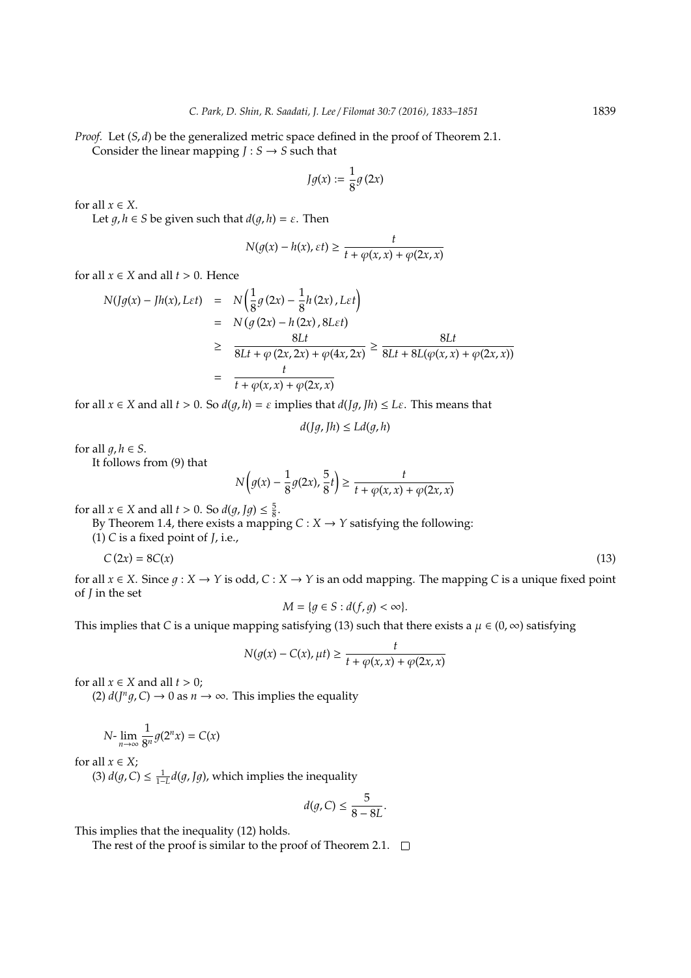*Proof.* Let  $(S, d)$  be the generalized metric space defined in the proof of Theorem 2.1. Consider the linear mapping  $J : S \rightarrow S$  such that

$$
Jg(x) := \frac{1}{8}g(2x)
$$

for all  $x \in X$ .

Let  $g, h \in S$  be given such that  $d(g, h) = \varepsilon$ . Then

$$
N(g(x) - h(x), \varepsilon t) \ge \frac{t}{t + \varphi(x, x) + \varphi(2x, x)}
$$

for all  $x \in X$  and all  $t > 0$ . Hence

$$
N(Jg(x) - Jh(x), Let) = N\left(\frac{1}{8}g(2x) - \frac{1}{8}h(2x), Let\right)
$$
  
= 
$$
N(g(2x) - h(2x), 8Let)
$$
  

$$
\geq \frac{8Lt}{8Lt + \varphi(2x, 2x) + \varphi(4x, 2x)} \geq \frac{8Lt}{8Lt + 8L(\varphi(x, x) + \varphi(2x, x))}
$$
  
= 
$$
\frac{t}{t + \varphi(x, x) + \varphi(2x, x)}
$$

for all  $x \in X$  and all  $t > 0$ . So  $d(q, h) = \varepsilon$  implies that  $d(Jq, Th) \leq L\varepsilon$ . This means that

$$
d(Jg, Jh) \le Ld(g, h)
$$

for all  $q, h \in S$ .

It follows from (9) that

$$
N\left(g(x) - \frac{1}{8}g(2x), \frac{5}{8}t\right) \ge \frac{t}{t + \varphi(x, x) + \varphi(2x, x)}
$$

for all  $x \in X$  and all  $t > 0$ . So  $d(g, Jg) \leq \frac{5}{8}$ .

By Theorem 1.4, there exists a mapping  $C: X \rightarrow Y$  satisfying the following:

(1) *C* is a fixed point of *J*, i.e.,

$$
C(2x) = 8C(x) \tag{13}
$$

for all  $x \in X$ . Since  $q: X \to Y$  is odd,  $C: X \to Y$  is an odd mapping. The mapping *C* is a unique fixed point of *J* in the set

$$
M = \{ g \in S : d(f, g) < \infty \}.
$$

This implies that *C* is a unique mapping satisfying (13) such that there exists a  $\mu \in (0, \infty)$  satisfying

$$
N(g(x) - C(x), \mu t) \ge \frac{t}{t + \varphi(x, x) + \varphi(2x, x)}
$$

for all  $x \in X$  and all  $t > 0$ ;

(2)  $d(J^n g, C) \to 0$  as  $n \to \infty$ . This implies the equality

$$
N\text{-}\lim_{n\to\infty}\frac{1}{8^n}g(2^n x)=C(x)
$$

for all  $x \in X$ ;

(3)  $d(g, C) \leq \frac{1}{1-L} d(g, Jg)$ , which implies the inequality

$$
d(g,C) \leq \frac{5}{8-8L}.
$$

This implies that the inequality (12) holds.

The rest of the proof is similar to the proof of Theorem 2.1.  $\Box$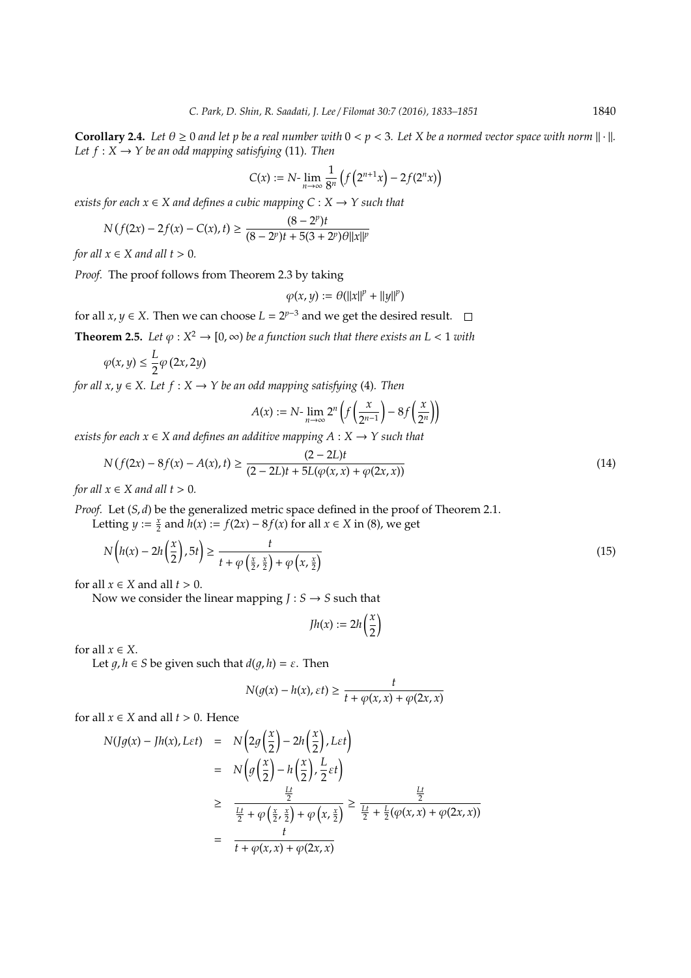**Corollary 2.4.** Let  $\theta \ge 0$  and let p be a real number with  $0 < p < 3$ . Let X be a normed vector space with norm  $\|\cdot\|$ . *Let*  $f: X \rightarrow Y$  *be an odd mapping satisfying* (11)*. Then* 

$$
C(x) := N \cdot \lim_{n \to \infty} \frac{1}{8^n} \left( f\left(2^{n+1} x\right) - 2f(2^n x) \right)
$$

*exists for each*  $x \in X$  *and defines a cubic mapping*  $C : X \rightarrow Y$  *such that* 

$$
N(f(2x) - 2f(x) - C(x), t) \ge \frac{(8 - 2^p)t}{(8 - 2^p)t + 5(3 + 2^p)\theta||x||^p}
$$

*for all*  $x \in X$  *and all*  $t > 0$ *.* 

*Proof.* The proof follows from Theorem 2.3 by taking

$$
\varphi(x,y) := \theta(||x||^p + ||y||^p)
$$

for all *x*, *y*  $\in$  *X*. Then we can choose  $L = 2^{p-3}$  and we get the desired result.

**Theorem 2.5.** Let  $\varphi: X^2 \to [0, \infty)$  be a function such that there exists an  $L < 1$  with

$$
\varphi(x,y)\leq \frac{L}{2}\varphi\left(2x,2y\right)
$$

*for all x*,  $y \in X$ *. Let*  $f : X \to Y$  *be an odd mapping satisfying* (4)*. Then* 

$$
A(x) := N \cdot \lim_{n \to \infty} 2^n \left( f\left(\frac{x}{2^{n-1}}\right) - 8f\left(\frac{x}{2^n}\right) \right)
$$

*exists for each*  $x \in X$  *and defines an additive mapping*  $A: X \rightarrow Y$  *such that* 

$$
N(f(2x) - 8f(x) - A(x), t) \ge \frac{(2 - 2L)t}{(2 - 2L)t + 5L(\varphi(x, x) + \varphi(2x, x))}
$$
\n(14)

*for all*  $x \in X$  *and all*  $t > 0$ *.* 

*Proof.* Let  $(S, d)$  be the generalized metric space defined in the proof of Theorem 2.1.

Letting *y* :=  $\frac{x}{2}$  and  $h(x) := f(2x) - 8f(x)$  for all  $x \in X$  in (8), we get

$$
N\left(h(x) - 2h\left(\frac{x}{2}\right), 5t\right) \ge \frac{t}{t + \varphi\left(\frac{x}{2}, \frac{x}{2}\right) + \varphi\left(x, \frac{x}{2}\right)}
$$
\n(15)

for all  $x \in X$  and all  $t > 0$ .

Now we consider the linear mapping  $J : S \rightarrow S$  such that

$$
Jh(x):=2h\left(\frac{x}{2}\right)
$$

for all  $x \in X$ .

Let  $q, h \in S$  be given such that  $d(q, h) = \varepsilon$ . Then

$$
N(g(x) - h(x), \varepsilon t) \ge \frac{t}{t + \varphi(x, x) + \varphi(2x, x)}
$$

for all  $x \in X$  and all  $t > 0$ . Hence

$$
N(Jg(x) - Jh(x), L\varepsilon t) = N\left(2g\left(\frac{x}{2}\right) - 2h\left(\frac{x}{2}\right), L\varepsilon t\right)
$$
  

$$
= N\left(g\left(\frac{x}{2}\right) - h\left(\frac{x}{2}\right), \frac{L}{2}\varepsilon t\right)
$$
  

$$
\geq \frac{\frac{Lt}{2}}{\frac{Lt}{2} + \varphi\left(\frac{x}{2}, \frac{x}{2}\right) + \varphi\left(x, \frac{x}{2}\right)} \geq \frac{\frac{Lt}{2}}{\frac{Lt}{2} + \frac{L}{2}(\varphi(x, x) + \varphi(2x, x))}
$$
  

$$
= \frac{t}{t + \varphi(x, x) + \varphi(2x, x)}
$$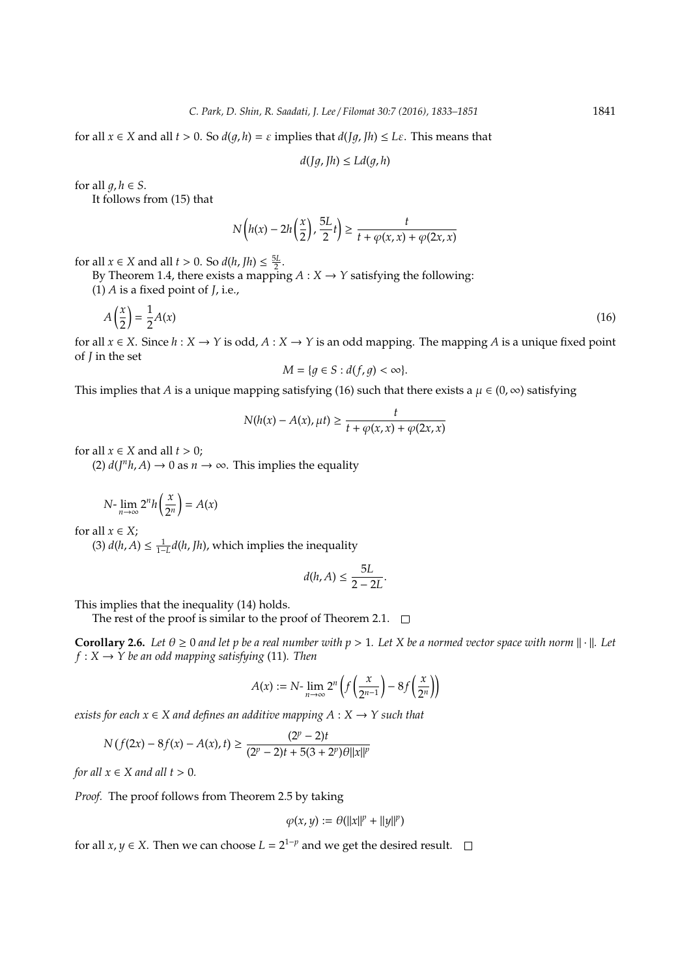for all  $x \in X$  and all  $t > 0$ . So  $d(q, h) = \varepsilon$  implies that  $d([q, h) \leq L\varepsilon$ . This means that

$$
d(Jg, Jh) \le Ld(g, h)
$$

for all  $q, h \in S$ .

It follows from (15) that

$$
N\left(h(x)-2h\left(\frac{x}{2}\right),\frac{5L}{2}t\right)\geq\frac{t}{t+\varphi(x,x)+\varphi(2x,x)}
$$

for all  $x \in X$  and all  $t > 0$ . So  $d(h, fh) \leq \frac{5L}{2}$ .

By Theorem 1.4, there exists a mapping  $A: X \rightarrow Y$  satisfying the following:

(1) *A* is a fixed point of *J*, i.e.,

$$
A\left(\frac{x}{2}\right) = \frac{1}{2}A(x) \tag{16}
$$

for all  $x \in X$ . Since  $h: X \to Y$  is odd,  $A: X \to Y$  is an odd mapping. The mapping A is a unique fixed point of *J* in the set

$$
M = \{ g \in S : d(f, g) < \infty \}.
$$

This implies that *A* is a unique mapping satisfying (16) such that there exists a  $\mu \in (0, \infty)$  satisfying

$$
N(h(x) - A(x), \mu t) \ge \frac{t}{t + \varphi(x, x) + \varphi(2x, x)}
$$

for all  $x \in X$  and all  $t > 0$ ;

 $(2) d(J<sup>n</sup>h, A) \rightarrow 0$  as  $n \rightarrow \infty$ . This implies the equality

$$
N\text{-}\lim_{n\to\infty}2^nh\left(\frac{x}{2^n}\right)=A(x)
$$

for all  $x \in X$ ;

(3)  $d(h, A) \leq \frac{1}{1-L}d(h, Jh)$ , which implies the inequality

$$
d(h,A) \leq \frac{5L}{2-2L}.
$$

This implies that the inequality (14) holds.

The rest of the proof is similar to the proof of Theorem 2.1.  $\Box$ 

**Corollary 2.6.** Let  $\theta \ge 0$  and let p be a real number with  $p > 1$ . Let X be a normed vector space with norm  $\|\cdot\|$ . Let  $f: X \rightarrow Y$  be an odd mapping satisfying (11). Then

$$
A(x) := N \cdot \lim_{n \to \infty} 2^n \left( f\left(\frac{x}{2^{n-1}}\right) - 8f\left(\frac{x}{2^n}\right) \right)
$$

*exists for each*  $x \in X$  *and defines an additive mapping*  $A: X \rightarrow Y$  *such that* 

$$
N(f(2x) - 8f(x) - A(x), t) \ge \frac{(2^p - 2)t}{(2^p - 2)t + 5(3 + 2^p)\theta ||x||^p}
$$

*for all*  $x \in X$  *and all*  $t > 0$ *.* 

*Proof.* The proof follows from Theorem 2.5 by taking

$$
\varphi(x,y) := \theta(||x||^p + ||y||^p)
$$

for all *x*, *y*  $\in$  *X*. Then we can choose  $L = 2^{1-p}$  and we get the desired result.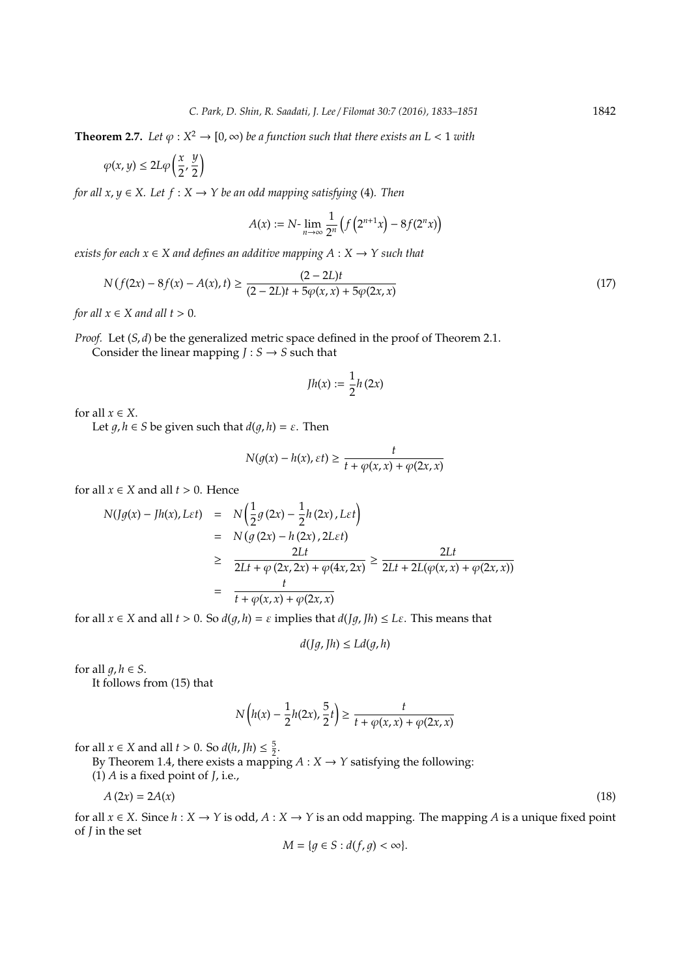**Theorem 2.7.** Let  $\varphi: X^2 \to [0, \infty)$  be a function such that there exists an  $L < 1$  with

$$
\varphi(x,y)\leq 2L\varphi\left(\frac{x}{2},\frac{y}{2}\right)
$$

*for all x, y*  $\in$  *X. Let f* : *X*  $\rightarrow$  *Y be an odd mapping satisfying* (4)*. Then* 

$$
A(x) := N \cdot \lim_{n \to \infty} \frac{1}{2^n} \left( f\left(2^{n+1} x\right) - 8 f(2^n x) \right)
$$

*exists for each*  $x \in X$  *and defines an additive mapping*  $A: X \rightarrow Y$  *such that* 

$$
N(f(2x) - 8f(x) - A(x), t) \ge \frac{(2 - 2L)t}{(2 - 2L)t + 5\varphi(x, x) + 5\varphi(2x, x)}
$$
(17)

*for all*  $x \in X$  *and all*  $t > 0$ *.* 

*Proof.* Let  $(S, d)$  be the generalized metric space defined in the proof of Theorem 2.1.

Consider the linear mapping  $J : S \rightarrow S$  such that

$$
Jh(x):=\frac{1}{2}h\left(2x\right)
$$

for all  $x \in X$ .

Let  $q, h \in S$  be given such that  $d(q, h) = \varepsilon$ . Then

$$
N(g(x) - h(x), \varepsilon t) \ge \frac{t}{t + \varphi(x, x) + \varphi(2x, x)}
$$

for all  $x \in X$  and all  $t > 0$ . Hence

$$
N(Jg(x) - Jh(x), Let) = N\left(\frac{1}{2}g(2x) - \frac{1}{2}h(2x), Let\right)
$$
  
= 
$$
N(g(2x) - h(2x), 2Let)
$$
  

$$
\geq \frac{2Lt}{2Lt + \varphi(2x, 2x) + \varphi(4x, 2x)} \geq \frac{2Lt}{2Lt + 2L(\varphi(x, x) + \varphi(2x, x))}
$$
  
= 
$$
\frac{t}{t + \varphi(x, x) + \varphi(2x, x)}
$$

for all  $x \in X$  and all  $t > 0$ . So  $d(q, h) = \varepsilon$  implies that  $d(fq, Th) \leq L\varepsilon$ . This means that

$$
d(Jg, Jh) \le Ld(g, h)
$$

for all  $q, h \in S$ .

It follows from (15) that

$$
N\left(h(x) - \frac{1}{2}h(2x), \frac{5}{2}t\right) \ge \frac{t}{t + \varphi(x, x) + \varphi(2x, x)}
$$

for all  $x \in X$  and all  $t > 0$ . So  $d(h, fh) \leq \frac{5}{2}$ .

By Theorem 1.4, there exists a mapping  $A: X \rightarrow Y$  satisfying the following:

(1) *A* is a fixed point of *J*, i.e.,

$$
A(2x) = 2A(x) \tag{18}
$$

for all  $x \in X$ . Since  $h : X \to Y$  is odd,  $A : X \to Y$  is an odd mapping. The mapping A is a unique fixed point of *J* in the set

$$
M = \{ g \in S : d(f, g) < \infty \}.
$$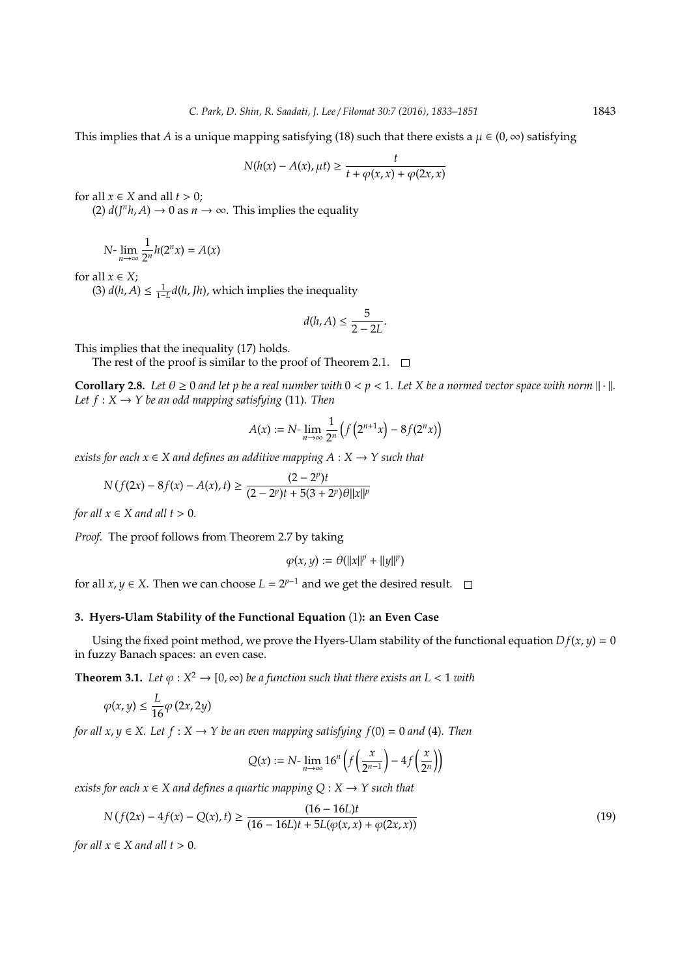This implies that *A* is a unique mapping satisfying (18) such that there exists a  $\mu \in (0, \infty)$  satisfying

$$
N(h(x) - A(x), \mu t) \ge \frac{t}{t + \varphi(x, x) + \varphi(2x, x)}
$$

for all  $x \in X$  and all  $t > 0$ ;

 $(2) d(J<sup>n</sup>h, A) \rightarrow 0$  as  $n \rightarrow \infty$ . This implies the equality

$$
N\text{-}\lim_{n\to\infty}\frac{1}{2^n}h(2^nx)=A(x)
$$

for all  $x \in X$ ;

(3)  $d(h, A) \leq \frac{1}{1-L}d(h, Jh)$ , which implies the inequality

$$
d(h,A) \leq \frac{5}{2-2L}.
$$

This implies that the inequality (17) holds.

The rest of the proof is similar to the proof of Theorem 2.1.  $\Box$ 

**Corollary 2.8.** Let  $\theta \ge 0$  and let p be a real number with  $0 < p < 1$ . Let X be a normed vector space with norm  $\|\cdot\|$ . *Let*  $f: X \rightarrow Y$  *be an odd mapping satisfying* (11)*. Then* 

$$
A(x) := N \cdot \lim_{n \to \infty} \frac{1}{2^n} \left( f\left(2^{n+1} x\right) - 8 f(2^n x) \right)
$$

*exists for each*  $x \in X$  *and defines an additive mapping*  $A: X \rightarrow Y$  *such that* 

$$
N(f(2x) - 8f(x) - A(x), t) \ge \frac{(2 - 2^p)t}{(2 - 2^p)t + 5(3 + 2^p)\theta||x||^p}
$$

*for all*  $x \in X$  *and all*  $t > 0$ *.* 

*Proof.* The proof follows from Theorem 2.7 by taking

$$
\varphi(x,y) := \theta(||x||^p + ||y||^p)
$$

for all *x*, *y*  $\in$  *X*. Then we can choose  $L = 2^{p-1}$  and we get the desired result.

## **3. Hyers-Ulam Stability of the Functional Equation** (1)**: an Even Case**

Using the fixed point method, we prove the Hyers-Ulam stability of the functional equation  $Df(x, y) = 0$ in fuzzy Banach spaces: an even case.

**Theorem 3.1.** Let  $\varphi: X^2 \to [0, \infty)$  be a function such that there exists an  $L < 1$  with

$$
\varphi(x,y) \le \frac{L}{16} \varphi\left(2x, 2y\right)
$$

*for all x, y*  $\in$  *X.* Let  $f : X \rightarrow Y$  be an even mapping satisfying  $f(0) = 0$  and (4). Then

$$
Q(x) := N \text{-} \lim_{n \to \infty} 16^n \left( f\left(\frac{x}{2^{n-1}}\right) - 4f\left(\frac{x}{2^n}\right) \right)
$$

*exists for each*  $x \in X$  *and defines a quartic mapping*  $Q : X \rightarrow Y$  *such that* 

$$
N\left(f(2x) - 4f(x) - Q(x), t\right) \ge \frac{(16 - 16L)t}{(16 - 16L)t + 5L(\varphi(x, x) + \varphi(2x, x))}
$$
\n(19)

*for all*  $x \in X$  *and all*  $t > 0$ *.*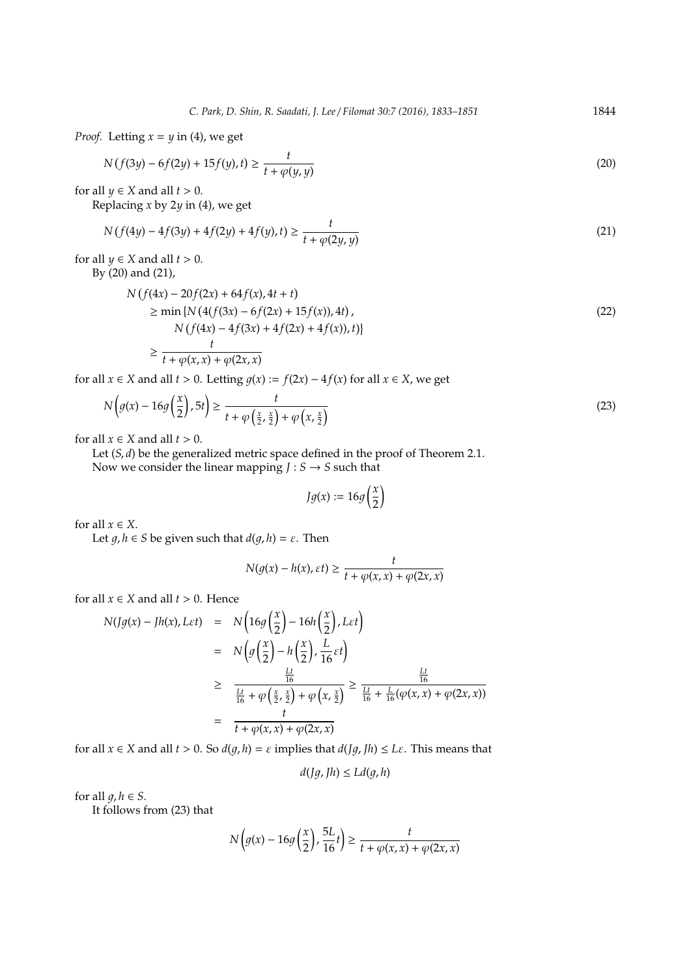*Proof.* Letting  $x = y$  in (4), we get

$$
N(f(3y) - 6f(2y) + 15f(y), t) \ge \frac{t}{t + \varphi(y, y)}
$$
\n(20)

for all  $y \in X$  and all  $t > 0$ .

Replacing *x* by 2*y* in (4), we get

$$
N(f(4y) - 4f(3y) + 4f(2y) + 4f(y), t) \ge \frac{t}{t + \varphi(2y, y)}
$$
\n(21)

for all  $y \in X$  and all  $t > 0$ .

By (20) and (21),

$$
N\left(f(4x) - 20f(2x) + 64f(x), 4t + t\right) \ge \min\left\{N\left(4(f(3x) - 6f(2x) + 15f(x)), 4t\right),\right.\n\left.\n\quad\nN\left(f(4x) - 4f(3x) + 4f(2x) + 4f(x)\right), t\right)\right\} \ge \frac{t}{t + \varphi(x, x) + \varphi(2x, x)}
$$
\n(22)

for all *x* ∈ *X* and all *t* > 0. Letting  $g(x) := f(2x) - 4f(x)$  for all  $x \in X$ , we get

$$
N\left(g(x) - 16g\left(\frac{x}{2}\right), 5t\right) \ge \frac{t}{t + \varphi\left(\frac{x}{2}, \frac{x}{2}\right) + \varphi\left(x, \frac{x}{2}\right)}
$$
\n<sup>(23)</sup>

for all  $x \in X$  and all  $t > 0$ .

Let (*S*, *d*) be the generalized metric space defined in the proof of Theorem 2.1.

Now we consider the linear mapping  $J : S \rightarrow S$  such that

$$
Jg(x):=16g\left(\frac{x}{2}\right)
$$

for all  $x \in X$ .

Let  $g, h \in S$  be given such that  $d(g, h) = \varepsilon$ . Then

$$
N(g(x) - h(x), \varepsilon t) \ge \frac{t}{t + \varphi(x, x) + \varphi(2x, x)}
$$

for all  $x \in X$  and all  $t > 0$ . Hence

$$
N(Jg(x) - Jh(x), L\varepsilon t) = N\left(16g\left(\frac{x}{2}\right) - 16h\left(\frac{x}{2}\right), L\varepsilon t\right)
$$
  

$$
= N\left(g\left(\frac{x}{2}\right) - h\left(\frac{x}{2}\right), \frac{L}{16}\varepsilon t\right)
$$
  

$$
\geq \frac{\frac{Lt}{16}}{\frac{Lt}{16} + \varphi\left(\frac{x}{2}, \frac{x}{2}\right) + \varphi\left(x, \frac{x}{2}\right)} \geq \frac{\frac{Lt}{16}}{\frac{Lt}{16} + \frac{L}{16}(\varphi(x, x) + \varphi(2x, x))}
$$
  

$$
= \frac{t}{t + \varphi(x, x) + \varphi(2x, x)}
$$

for all  $x \in X$  and all  $t > 0$ . So  $d(q, h) = \varepsilon$  implies that  $d(Jq, Th) \leq L\varepsilon$ . This means that

 $d(Jg, Jh) \leq Ld(g, h)$ 

for all  $q, h \in S$ .

It follows from (23) that

$$
N\left(g(x)-16g\left(\frac{x}{2}\right),\frac{5L}{16}t\right)\geq\frac{t}{t+\varphi(x,x)+\varphi(2x,x)}
$$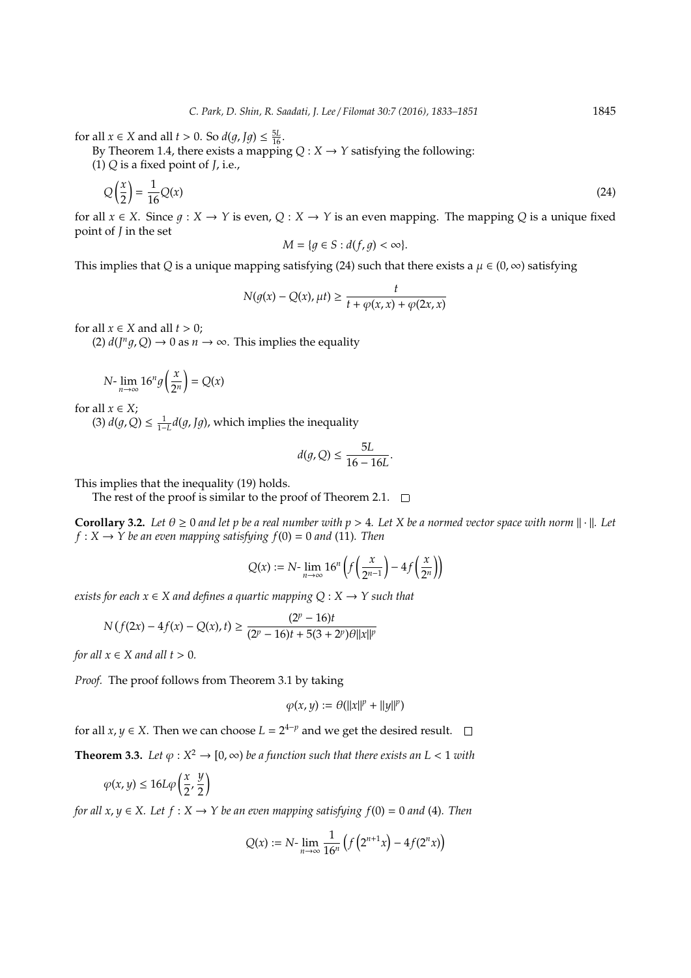for all  $x \in X$  and all  $t > 0$ . So  $d(g, Jg) \le \frac{5L}{16}$ .

By Theorem 1.4, there exists a mapping  $Q: X \to Y$  satisfying the following:

(1) *Q* is a fixed point of *J*, i.e.,

$$
Q\left(\frac{x}{2}\right) = \frac{1}{16}Q(x) \tag{24}
$$

for all  $x \in X$ . Since  $q: X \to Y$  is even,  $Q: X \to Y$  is an even mapping. The mapping Q is a unique fixed point of *J* in the set

$$
M = \{g \in S : d(f,g) < \infty\}.
$$

This implies that *Q* is a unique mapping satisfying (24) such that there exists a  $\mu \in (0, \infty)$  satisfying

$$
N(g(x) - Q(x), \mu t) \ge \frac{t}{t + \varphi(x, x) + \varphi(2x, x)}
$$

for all  $x \in X$  and all  $t > 0$ ;

(2)  $d(J^n g, Q) \to 0$  as  $n \to \infty$ . This implies the equality

$$
N\text{-}\lim_{n\to\infty}16^n g\left(\frac{x}{2^n}\right) = Q(x)
$$

for all  $x \in X$ ;

(3)  $d(g, Q) \leq \frac{1}{1-L} d(g, \text{J}g)$ , which implies the inequality

$$
d(g,Q) \le \frac{5L}{16 - 16L}.
$$

This implies that the inequality (19) holds.

The rest of the proof is similar to the proof of Theorem 2.1.  $\quad \Box$ 

**Corollary 3.2.** Let  $\theta \ge 0$  and let p be a real number with  $p > 4$ . Let X be a normed vector space with norm  $\|\cdot\|$ . Let  $f: X \to Y$  be an even mapping satisfying  $f(0) = 0$  and (11). Then

$$
Q(x) := N \cdot \lim_{n \to \infty} 16^n \left( f\left(\frac{x}{2^{n-1}}\right) - 4f\left(\frac{x}{2^n}\right) \right)
$$

*exists for each*  $x \in X$  *and defines a quartic mapping*  $Q: X \rightarrow Y$  *such that* 

$$
N(f(2x) - 4f(x) - Q(x), t) \ge \frac{(2^p - 16)t}{(2^p - 16)t + 5(3 + 2^p)\theta ||x||^p}
$$

*for all*  $x \in X$  *and all*  $t > 0$ *.* 

*Proof.* The proof follows from Theorem 3.1 by taking

$$
\varphi(x,y) := \theta(||x||^p + ||y||^p)
$$

for all  $x, y \in X$ . Then we can choose  $L = 2^{4-p}$  and we get the desired result.

**Theorem 3.3.** Let  $\varphi: X^2 \to [0, \infty)$  be a function such that there exists an  $L < 1$  with

$$
\varphi(x,y)\leq 16L\varphi\left(\frac{x}{2},\frac{y}{2}\right)
$$

*for all x, y*  $\in$  *X.* Let  $f : X \rightarrow Y$  be an even mapping satisfying  $f(0) = 0$  and (4). Then

$$
Q(x) := N \cdot \lim_{n \to \infty} \frac{1}{16^n} \left( f\left(2^{n+1}x\right) - 4f(2^n x) \right)
$$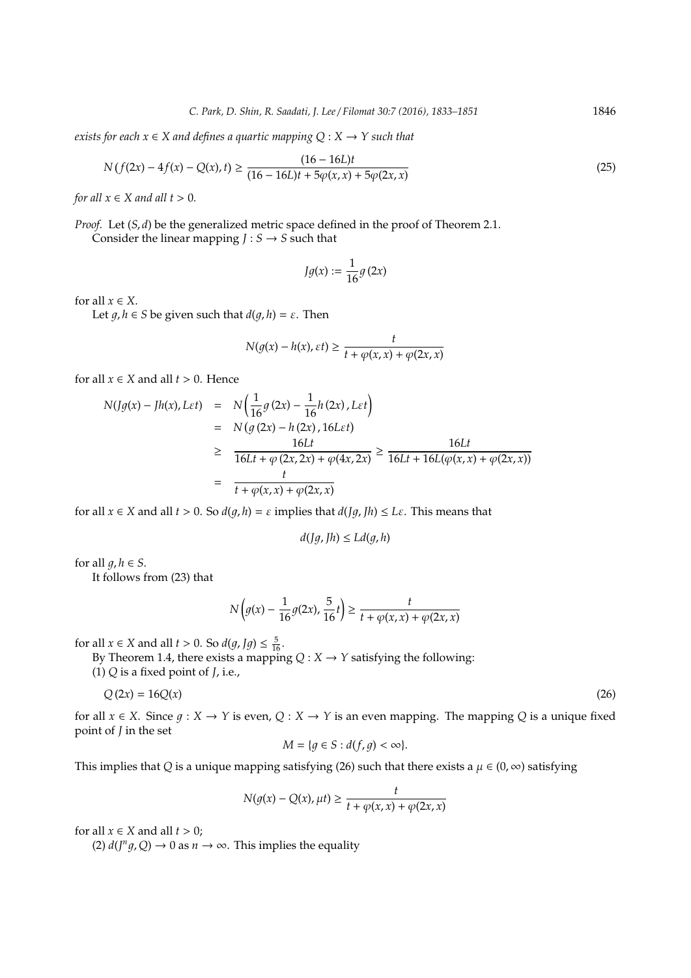*exists for each*  $x \in X$  *and defines a quartic mapping*  $Q: X \rightarrow Y$  *such that* 

$$
N(f(2x) - 4f(x) - Q(x), t) \ge \frac{(16 - 16L)t}{(16 - 16L)t + 5\varphi(x, x) + 5\varphi(2x, x)}
$$
(25)

*for all*  $x \in X$  *and all*  $t > 0$ *.* 

*Proof.* Let  $(S, d)$  be the generalized metric space defined in the proof of Theorem 2.1. Consider the linear mapping  $J : S \rightarrow S$  such that

$$
Jg(x):=\frac{1}{16}g\left(2x\right)
$$

for all  $x \in X$ .

Let  $q, h \in S$  be given such that  $d(q, h) = \varepsilon$ . Then

$$
N(g(x) - h(x), \varepsilon t) \ge \frac{t}{t + \varphi(x, x) + \varphi(2x, x)}
$$

for all  $x \in X$  and all  $t > 0$ . Hence

$$
N(Jg(x) - Jh(x), Let) = N\left(\frac{1}{16}g(2x) - \frac{1}{16}h(2x), Let\right)
$$
  
=  $N(g(2x) - h(2x), 16Let)$   

$$
\geq \frac{16Lt}{16Lt + \varphi(2x, 2x) + \varphi(4x, 2x)} \geq \frac{16Lt}{16Lt + 16L(\varphi(x, x) + \varphi(2x, x))}
$$
  
=  $\frac{t}{t + \varphi(x, x) + \varphi(2x, x)}$ 

for all  $x \in X$  and all  $t > 0$ . So  $d(g, h) = \varepsilon$  implies that  $d(Jg, Jh) \leq L\varepsilon$ . This means that

$$
d(Jg, Jh) \le Ld(g, h)
$$

for all  $q, h \in S$ .

It follows from (23) that

$$
N\left(g(x)-\frac{1}{16}g(2x),\frac{5}{16}t\right)\geq\frac{t}{t+\varphi(x,x)+\varphi(2x,x)}
$$

for all  $x \in X$  and all  $t > 0$ . So  $d(g, Jg) \leq \frac{5}{16}$ .

By Theorem 1.4, there exists a mapping  $Q: X \rightarrow Y$  satisfying the following:

(1) *Q* is a fixed point of *J*, i.e.,

$$
Q(2x) = 16Q(x) \tag{26}
$$

for all  $x \in X$ . Since  $g: X \to Y$  is even,  $Q: X \to Y$  is an even mapping. The mapping *Q* is a unique fixed point of *J* in the set

$$
M = \{ g \in S : d(f, g) < \infty \}.
$$

This implies that *Q* is a unique mapping satisfying (26) such that there exists a  $\mu \in (0, \infty)$  satisfying

$$
N(g(x) - Q(x), \mu t) \ge \frac{t}{t + \varphi(x, x) + \varphi(2x, x)}
$$

for all  $x \in X$  and all  $t > 0$ ;

 $(2) d(J<sup>n</sup>g, Q) \rightarrow 0$  as  $n \rightarrow \infty$ . This implies the equality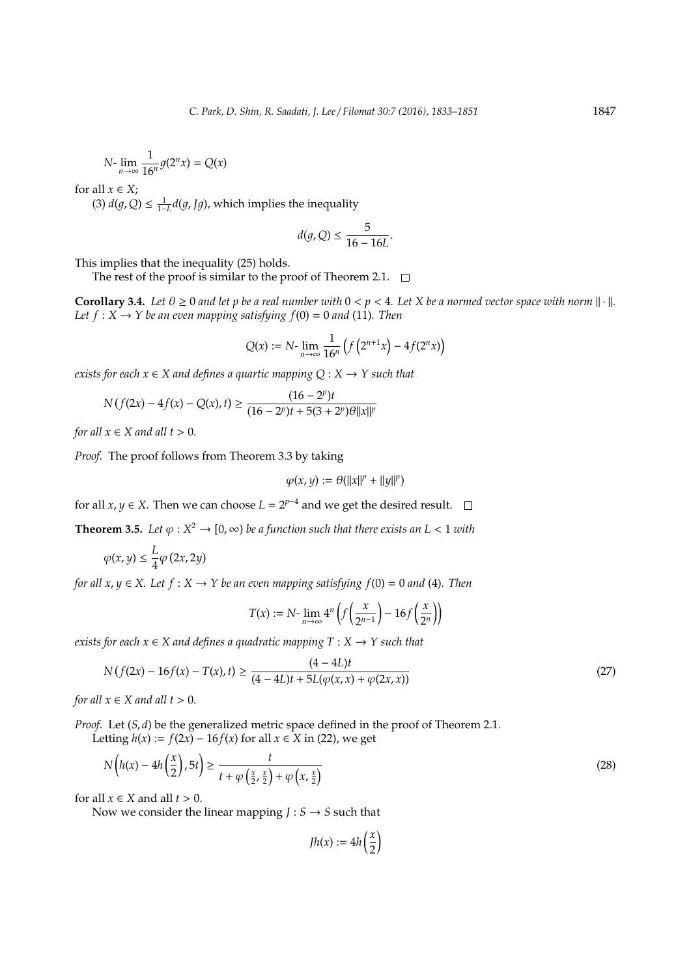$$
N\text{-}\lim_{n\to\infty}\frac{1}{16^n}g(2^n x)=Q(x)
$$

for all  $x \in X$ ;

(3)  $d(g, Q) \leq \frac{1}{1-L} d(g, \text{J}g)$ , which implies the inequality

$$
d(g,Q) \le \frac{5}{16 - 16L}
$$

.

This implies that the inequality (25) holds.

The rest of the proof is similar to the proof of Theorem 2.1.  $\Box$ 

**Corollary 3.4.** Let  $\theta \ge 0$  and let p be a real number with  $0 < p < 4$ . Let X be a normed vector space with norm  $\|\cdot\|$ . *Let*  $f : X \rightarrow Y$  *be an even mapping satisfying*  $f(0) = 0$  *and* (11)*. Then* 

$$
Q(x) := N \cdot \lim_{n \to \infty} \frac{1}{16^n} \left( f\left(2^{n+1}x\right) - 4f(2^n x) \right)
$$

*exists for each*  $x \in X$  *and defines a quartic mapping*  $Q: X \rightarrow Y$  *such that* 

$$
N(f(2x) - 4f(x) - Q(x), t) \ge \frac{(16 - 2^p)t}{(16 - 2^p)t + 5(3 + 2^p)\theta||x||^p}
$$

*for all*  $x \in X$  *and all*  $t > 0$ *.* 

*Proof.* The proof follows from Theorem 3.3 by taking

$$
\varphi(x,y) := \theta(||x||^p + ||y||^p)
$$

for all *x*, *y*  $\in$  *X*. Then we can choose  $L = 2^{p-4}$  and we get the desired result.

**Theorem 3.5.** Let  $\varphi: X^2 \to [0, \infty)$  be a function such that there exists an  $L < 1$  with

$$
\varphi(x,y) \leq \frac{L}{4}\varphi\left(2x,2y\right)
$$

*for all x, y*  $\in$  *X.* Let *f* : *X*  $\rightarrow$  *Y* be an even mapping satisfying *f*(0) = 0 *and* (4)*. Then* 

$$
T(x) := N \cdot \lim_{n \to \infty} 4^n \left( f\left(\frac{x}{2^{n-1}}\right) - 16f\left(\frac{x}{2^n}\right) \right)
$$

*exists for each x* ∈ *X and defines a quadratic mapping T* : *X* → *Y such that*

$$
N\left(f(2x) - 16f(x) - T(x), t\right) \ge \frac{(4 - 4L)t}{(4 - 4L)t + 5L(\varphi(x, x) + \varphi(2x, x))}
$$
\n(27)

*for all*  $x \in X$  *and all*  $t > 0$ *.* 

*Proof.* Let  $(S, d)$  be the generalized metric space defined in the proof of Theorem 2.1.

Letting  $h(x) := f(2x) - 16f(x)$  for all  $x \in X$  in (22), we get

$$
N\left(h(x) - 4h\left(\frac{x}{2}\right), 5t\right) \ge \frac{t}{t + \varphi\left(\frac{x}{2}, \frac{x}{2}\right) + \varphi\left(x, \frac{x}{2}\right)}
$$
\n<sup>(28)</sup>

for all  $x \in X$  and all  $t > 0$ .

Now we consider the linear mapping  $J : S \rightarrow S$  such that

 $Jh(x) := 4h\left(\frac{x}{2}\right)$ 2  $\lambda$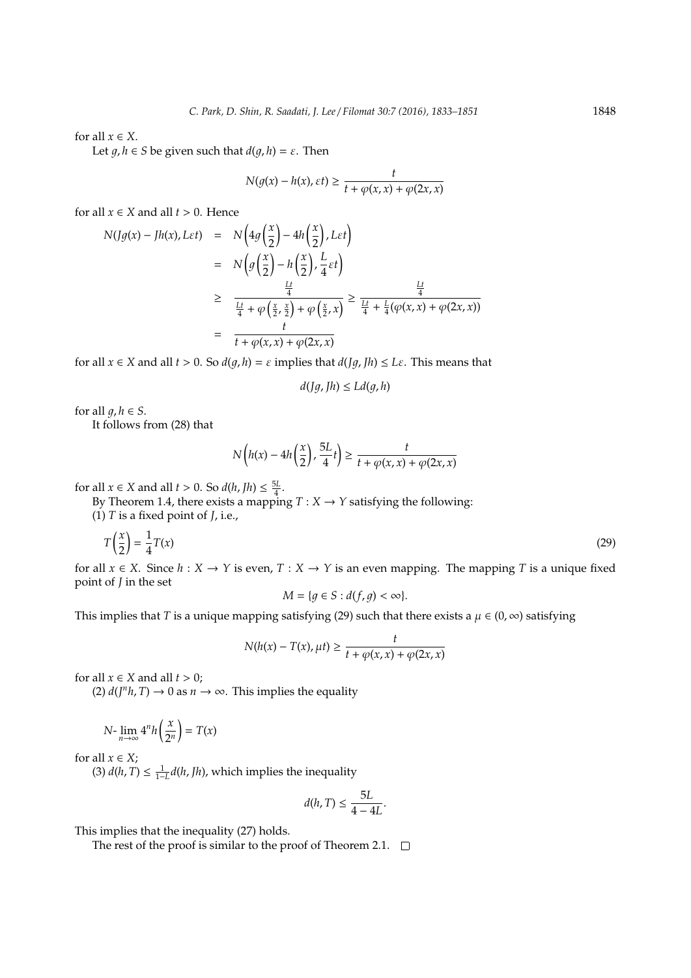for all  $x \in X$ .

Let  $q, h \in S$  be given such that  $d(q, h) = \varepsilon$ . Then

$$
N(g(x) - h(x), \varepsilon t) \ge \frac{t}{t + \varphi(x, x) + \varphi(2x, x)}
$$

for all  $x \in X$  and all  $t > 0$ . Hence

$$
N(Jg(x) - Jh(x), Let) = N\left(4g\left(\frac{x}{2}\right) - 4h\left(\frac{x}{2}\right), Let\right)
$$
  

$$
= N\left(g\left(\frac{x}{2}\right) - h\left(\frac{x}{2}\right), \frac{L}{4}et\right)
$$
  

$$
\geq \frac{\frac{Lt}{4}}{\frac{Lt}{4} + \varphi\left(\frac{x}{2}, \frac{x}{2}\right) + \varphi\left(\frac{x}{2}, x\right)} \geq \frac{\frac{Lt}{4}}{\frac{Lt}{4} + \frac{L}{4}(\varphi(x, x) + \varphi(2x, x))}
$$
  

$$
= \frac{t}{t + \varphi(x, x) + \varphi(2x, x)}
$$

for all  $x \in X$  and all  $t > 0$ . So  $d(q, h) = \varepsilon$  implies that  $d([q, h) \leq L\varepsilon$ . This means that

$$
d(Jg, Jh) \le Ld(g, h)
$$

for all  $q, h \in S$ .

It follows from (28) that

$$
N\left(h(x) - 4h\left(\frac{x}{2}\right), \frac{5L}{4}t\right) \ge \frac{t}{t + \varphi(x, x) + \varphi(2x, x)}
$$

for all  $x \in X$  and all  $t > 0$ . So  $d(h, fh) \leq \frac{5L}{4}$ .

By Theorem 1.4, there exists a mapping  $T : X \to Y$  satisfying the following:

(1) *T* is a fixed point of *J*, i.e.,

$$
T\left(\frac{x}{2}\right) = \frac{1}{4}T(x) \tag{29}
$$

for all  $x \in X$ . Since  $h: X \to Y$  is even,  $T: X \to Y$  is an even mapping. The mapping *T* is a unique fixed point of *J* in the set

$$
M = \{ g \in S : d(f, g) < \infty \}.
$$

This implies that *T* is a unique mapping satisfying (29) such that there exists a  $\mu \in (0, \infty)$  satisfying

$$
N(h(x) - T(x), \mu t) \ge \frac{t}{t + \varphi(x, x) + \varphi(2x, x)}
$$

for all  $x \in X$  and all  $t > 0$ ;

(2)  $d(J<sup>n</sup>h, T) \rightarrow 0$  as  $n \rightarrow \infty$ . This implies the equality

$$
N\text{-}\lim_{n\to\infty}4^n h\left(\frac{x}{2^n}\right) = T(x)
$$

for all  $x \in X$ ;

(3)  $d(h, T) \leq \frac{1}{1-L}d(h, Jh)$ , which implies the inequality

$$
d(h,T) \leq \frac{5L}{4-4L}.
$$

This implies that the inequality (27) holds.

The rest of the proof is similar to the proof of Theorem 2.1.  $\Box$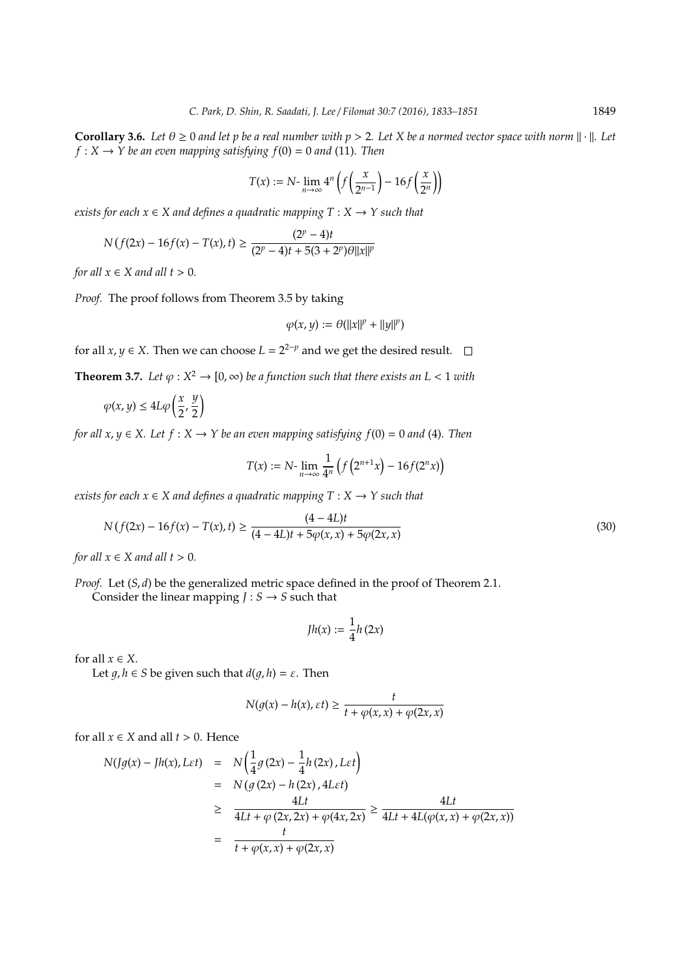**Corollary 3.6.** Let  $\theta \ge 0$  and let p be a real number with  $p > 2$ . Let X be a normed vector space with norm  $\|\cdot\|$ . Let  $f: X \to Y$  be an even mapping satisfying  $f(0) = 0$  and (11). Then

$$
T(x) := N \cdot \lim_{n \to \infty} 4^n \left( f\left(\frac{x}{2^{n-1}}\right) - 16f\left(\frac{x}{2^n}\right) \right)
$$

*exists for each*  $x \in X$  *and defines a quadratic mapping*  $T : X \rightarrow Y$  *such that* 

$$
N(f(2x) - 16f(x) - T(x), t) \ge \frac{(2^p - 4)t}{(2^p - 4)t + 5(3 + 2^p)\theta ||x||^p}
$$

*for all*  $x \in X$  *and all*  $t > 0$ *.* 

*Proof.* The proof follows from Theorem 3.5 by taking

$$
\varphi(x,y) := \theta(||x||^p + ||y||^p)
$$

for all *x*, *y*  $\in$  *X*. Then we can choose  $L = 2^{2-p}$  and we get the desired result.

**Theorem 3.7.** Let  $\varphi: X^2 \to [0, \infty)$  be a function such that there exists an  $L < 1$  with

$$
\varphi(x,y) \le 4L\varphi\left(\frac{x}{2},\frac{y}{2}\right)
$$

*for all x, y*  $\in$  *X.* Let  $f : X \rightarrow Y$  be an even mapping satisfying  $f(0) = 0$  and (4). Then

$$
T(x) := N \cdot \lim_{n \to \infty} \frac{1}{4^n} \left( f\left(2^{n+1} x\right) - 16 f(2^n x) \right)
$$

*exists for each*  $x \in X$  *and defines a quadratic mapping*  $T : X \rightarrow Y$  *such that* 

$$
N(f(2x) - 16f(x) - T(x), t) \ge \frac{(4 - 4L)t}{(4 - 4L)t + 5\varphi(x, x) + 5\varphi(2x, x)}
$$
(30)

*for all*  $x \in X$  *and all*  $t > 0$ *.* 

*Proof.* Let  $(S, d)$  be the generalized metric space defined in the proof of Theorem 2.1. Consider the linear mapping  $J : S \rightarrow S$  such that

$$
Jh(x):=\frac{1}{4}h\left(2x\right)
$$

for all  $x \in X$ .

Let  $g, h \in S$  be given such that  $d(g, h) = \varepsilon$ . Then

$$
N(g(x) - h(x), \varepsilon t) \ge \frac{t}{t + \varphi(x, x) + \varphi(2x, x)}
$$

for all  $x \in X$  and all  $t > 0$ . Hence

$$
N(Jg(x) - Jh(x), L\varepsilon t) = N\left(\frac{1}{4}g(2x) - \frac{1}{4}h(2x), L\varepsilon t\right)
$$
  
=  $N(g(2x) - h(2x), 4L\varepsilon t)$   
 $\geq \frac{4Lt}{4Lt + \varphi(2x, 2x) + \varphi(4x, 2x)} \geq \frac{4Lt}{4Lt + 4L(\varphi(x, x) + \varphi(2x, x))}$   
=  $\frac{t}{t + \varphi(x, x) + \varphi(2x, x)}$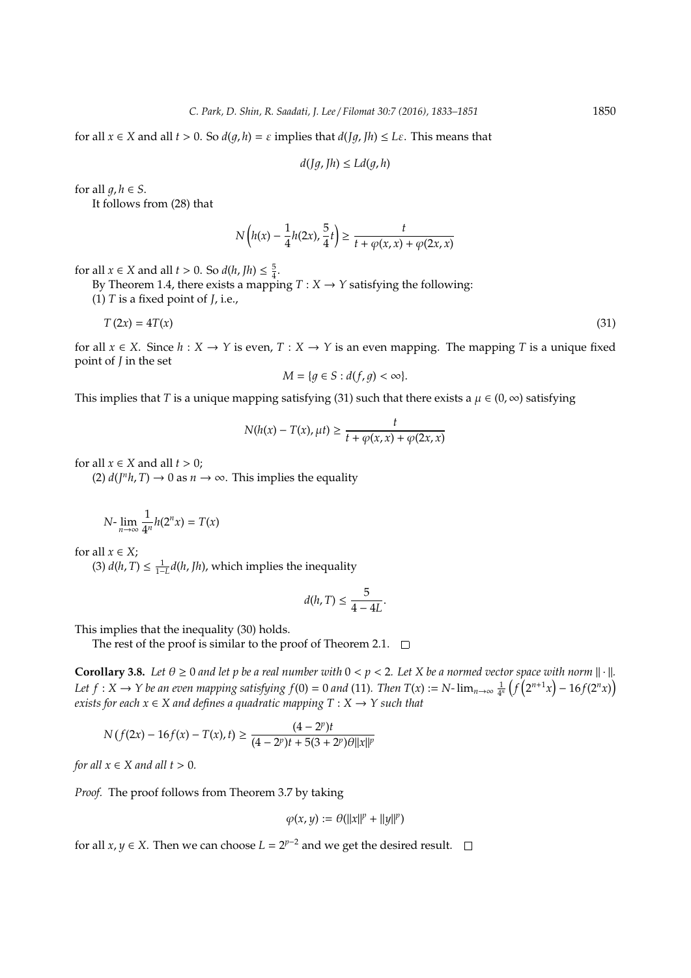for all  $x \in X$  and all  $t > 0$ . So  $d(q, h) = \varepsilon$  implies that  $d([q, h) \leq L\varepsilon$ . This means that

$$
d(Jg, Jh) \le Ld(g, h)
$$

for all  $q, h \in S$ .

It follows from (28) that

$$
N\left(h(x)-\frac{1}{4}h(2x),\frac{5}{4}t\right)\geq\frac{t}{t+\varphi(x,x)+\varphi(2x,x)}
$$

for all  $x \in X$  and all  $t > 0$ . So  $d(h, fh) \leq \frac{5}{4}$ .

By Theorem 1.4, there exists a mapping  $T : X \rightarrow Y$  satisfying the following:

(1) *T* is a fixed point of *J*, i.e.,

$$
T(2x) = 4T(x) \tag{31}
$$

for all  $x \in X$ . Since  $h: X \to Y$  is even,  $T: X \to Y$  is an even mapping. The mapping *T* is a unique fixed point of *J* in the set

$$
M = \{ g \in S : d(f, g) < \infty \}.
$$

This implies that *T* is a unique mapping satisfying (31) such that there exists a  $\mu \in (0, \infty)$  satisfying

$$
N(h(x) - T(x), \mu t) \ge \frac{t}{t + \varphi(x, x) + \varphi(2x, x)}
$$

for all  $x \in X$  and all  $t > 0$ :

(2)  $d(J<sup>n</sup>h, T) \rightarrow 0$  as  $n \rightarrow \infty$ . This implies the equality

$$
N\text{-}\lim_{n\to\infty}\frac{1}{4^n}h(2^nx)=T(x)
$$

for all  $x \in X$ ;

(3)  $d(h, T) \leq \frac{1}{1-L}d(h, Jh)$ , which implies the inequality

$$
d(h,T) \leq \frac{5}{4-4L}.
$$

This implies that the inequality (30) holds.

The rest of the proof is similar to the proof of Theorem 2.1.  $\Box$ 

**Corollary 3.8.** Let  $\theta \ge 0$  and let p be a real number with  $0 < p < 2$ . Let X be a normed vector space with norm  $\|\cdot\|$ . *Let*  $f: X \to Y$  be an even mapping satisfying  $f(0) = 0$  and (11). Then  $T(x) := N$ - $\lim_{n \to \infty} \frac{1}{4^n} \left( f(2^{n+1}x) - 16f(2^n x) \right)$ *exists for each*  $x \in X$  *and defines a quadratic mapping*  $T : X \rightarrow Y$  *such that* 

$$
N(f(2x) - 16f(x) - T(x), t) \ge \frac{(4 - 2^p)t}{(4 - 2^p)t + 5(3 + 2^p)\theta||x||^p}
$$

*for all*  $x \in X$  *and all*  $t > 0$ *.* 

*Proof.* The proof follows from Theorem 3.7 by taking

$$
\varphi(x,y) := \theta(||x||^p + ||y||^p)
$$

for all *x*, *y*  $\in$  *X*. Then we can choose  $L = 2^{p-2}$  and we get the desired result.